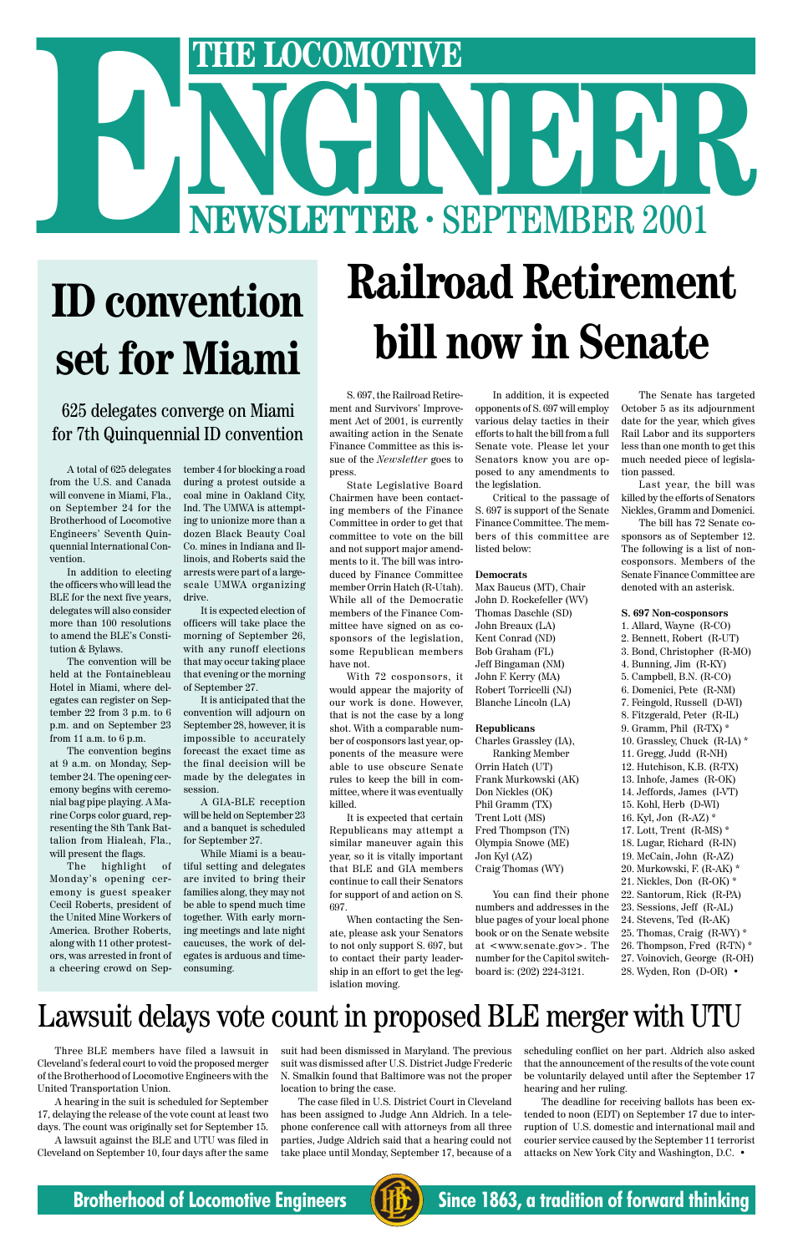**Railroad Retirement bill now in Senate**

# THE LOCOMOTIVE<br>
NEWSLETTER · SEPTEMBER 2001 **THE LOCOMOTIVE**<br> **NEWSLETTER · SEPTEMBER 2001**

# **ID convention set for Miami**

#### 625 delegates converge on Miami for 7th Quinquennial ID convention

S. 697, the Railroad Retirement and Survivors' Improvement Act of 2001, is currently awaiting action in the Senate Finance Committee as this issue of the *Newsletter* goes to press.

State Legislative Board Chairmen have been contacting members of the Finance Committee in order to get that committee to vote on the bill and not support major amendments to it. The bill was introduced by Finance Committee member Orrin Hatch (R-Utah). While all of the Democratic members of the Finance Committee have signed on as cosponsors of the legislation, some Republican members have not.

With 72 cosponsors, it would appear the majority of our work is done. However, that is not the case by a long shot. With a comparable number of cosponsors last year, opponents of the measure were able to use obscure Senate rules to keep the bill in committee, where it was eventually killed.

It is expected that certain Republicans may attempt a similar maneuver again this year, so it is vitally important that BLE and GIA members continue to call their Senators for support of and action on S. 697.

When contacting the Senate, please ask your Senators to not only support S. 697, but to contact their party leadership in an effort to get the legislation moving.

In addition, it is expected opponents of S. 697 will employ various delay tactics in their efforts to halt the bill from a full Senate vote. Please let your Senators know you are opposed to any amendments to the legislation.

Critical to the passage of S. 697 is support of the Senate Finance Committee. The members of this committee are listed below:

#### **Democrats**

Max Baucus (MT), Chair John D. Rockefeller (WV) Thomas Daschle (SD) John Breaux (LA) Kent Conrad (ND) Bob Graham (FL) Jeff Bingaman (NM) John F. Kerry (MA) Robert Torricelli (NJ) Blanche Lincoln (LA)

#### **Republicans**

Charles Grassley (IA), Ranking Member Orrin Hatch (UT) Frank Murkowski (AK) Don Nickles (OK) Phil Gramm (TX) Trent Lott (MS) Fred Thompson (TN) Olympia Snowe (ME) Jon Kyl (AZ) Craig Thomas (WY)

You can find their phone numbers and addresses in the blue pages of your local phone book or on the Senate website at <www.senate.gov>. The number for the Capitol switchboard is: (202) 224-3121.

The Senate has targeted October 5 as its adjournment date for the year, which gives Rail Labor and its supporters less than one month to get this much needed piece of legislation passed.

Last year, the bill was killed by the efforts of Senators Nickles, Gramm and Domenici.

The bill has 72 Senate cosponsors as of September 12. The following is a list of noncosponsors. Members of the Senate Finance Committee are denoted with an asterisk.

#### **S. 697 Non-cosponsors**

- 1. Allard, Wayne (R-CO) 2. Bennett, Robert (R-UT) 3. Bond, Christopher (R-MO) 4. Bunning, Jim (R-KY) 5. Campbell, B.N. (R-CO) 6. Domenici, Pete (R-NM) 7. Feingold, Russell (D-WI) 8. Fitzgerald, Peter (R-IL) 9. Gramm, Phil (R-TX) \* 10. Grassley, Chuck (R-IA) \* 11. Gregg, Judd (R-NH) 12. Hutchison, K.B. (R-TX) 13. Inhofe, James (R-OK) 14. Jeffords, James (I-VT) 15. Kohl, Herb (D-WI) 16. Kyl, Jon (R-AZ) \* 17. Lott, Trent (R-MS) \* 18. Lugar, Richard (R-IN) 19. McCain, John (R-AZ) 20. Murkowski, F. (R-AK) \* 21. Nickles, Don (R-OK) \* 22. Santorum, Rick (R-PA)
- 23. Sessions, Jeff (R-AL)

24. Stevens, Ted (R-AK) 25. Thomas, Craig (R-WY) \* 26. Thompson, Fred (R-TN) \* 27. Voinovich, George (R-OH) 28. Wyden, Ron (D-OR) •

A total of 625 delegates from the U.S. and Canada will convene in Miami, Fla., on September 24 for the Brotherhood of Locomotive Engineers' Seventh Quinquennial International Convention.

In addition to electing the officers who will lead the BLE for the next five years, delegates will also consider more than 100 resolutions to amend the BLE's Constitution & Bylaws.

The convention will be held at the Fontainebleau Hotel in Miami, where delegates can register on September 22 from 3 p.m. to 6 p.m. and on September 23 from 11 a.m. to 6 p.m.

The convention begins at 9 a.m. on Monday, September 24. The opening ceremony begins with ceremonial bag pipe playing. A Marine Corps color guard, representing the 8th Tank Battalion from Hialeah, Fla., will present the flags.

The highlight of Monday's opening ceremony is guest speaker Cecil Roberts, president of America. Brother Roberts, along with 11 other protestors, was arrested in front of a cheering crowd on Sep-

tember 4 for blocking a road during a protest outside a coal mine in Oakland City, Ind. The UMWA is attempting to unionize more than a dozen Black Beauty Coal Co. mines in Indiana and Illinois, and Roberts said the arrests were part of a largescale UMWA organizing drive.

It is expected election of officers will take place the morning of September 26, with any runoff elections that may occur taking place that evening or the morning of September 27.

the United Mine Workers of together. With early morn-While Miami is a beautiful setting and delegates are invited to bring their families along, they may not be able to spend much time ing meetings and late night caucuses, the work of delegates is arduous and timeconsuming.

It is anticipated that the convention will adjourn on September 28, however, it is impossible to accurately forecast the exact time as the final decision will be made by the delegates in session.

A GIA-BLE reception will be held on September 23 and a banquet is scheduled for September 27.

### Lawsuit delays vote count in proposed BLE merger with UTU

Three BLE members have filed a lawsuit in Cleveland's federal court to void the proposed merger of the Brotherhood of Locomotive Engineers with the United Transportation Union.

A hearing in the suit is scheduled for September 17, delaying the release of the vote count at least two days. The count was originally set for September 15.

A lawsuit against the BLE and UTU was filed in Cleveland on September 10, four days after the same suit had been dismissed in Maryland. The previous suit was dismissed after U.S. District Judge Frederic N. Smalkin found that Baltimore was not the proper location to bring the case.

The case filed in U.S. District Court in Cleveland has been assigned to Judge Ann Aldrich. In a telephone conference call with attorneys from all three parties, Judge Aldrich said that a hearing could not take place until Monday, September 17, because of a scheduling conflict on her part. Aldrich also asked that the announcement of the results of the vote count be voluntarily delayed until after the September 17 hearing and her ruling.

The deadline for receiving ballots has been extended to noon (EDT) on September 17 due to interruption of U.S. domestic and international mail and courier service caused by the September 11 terrorist attacks on New York City and Washington, D.C. •

#### **Brotherhood of Locomotive Engineers (FIFE)** Since 1863, a tradition of forward thinking

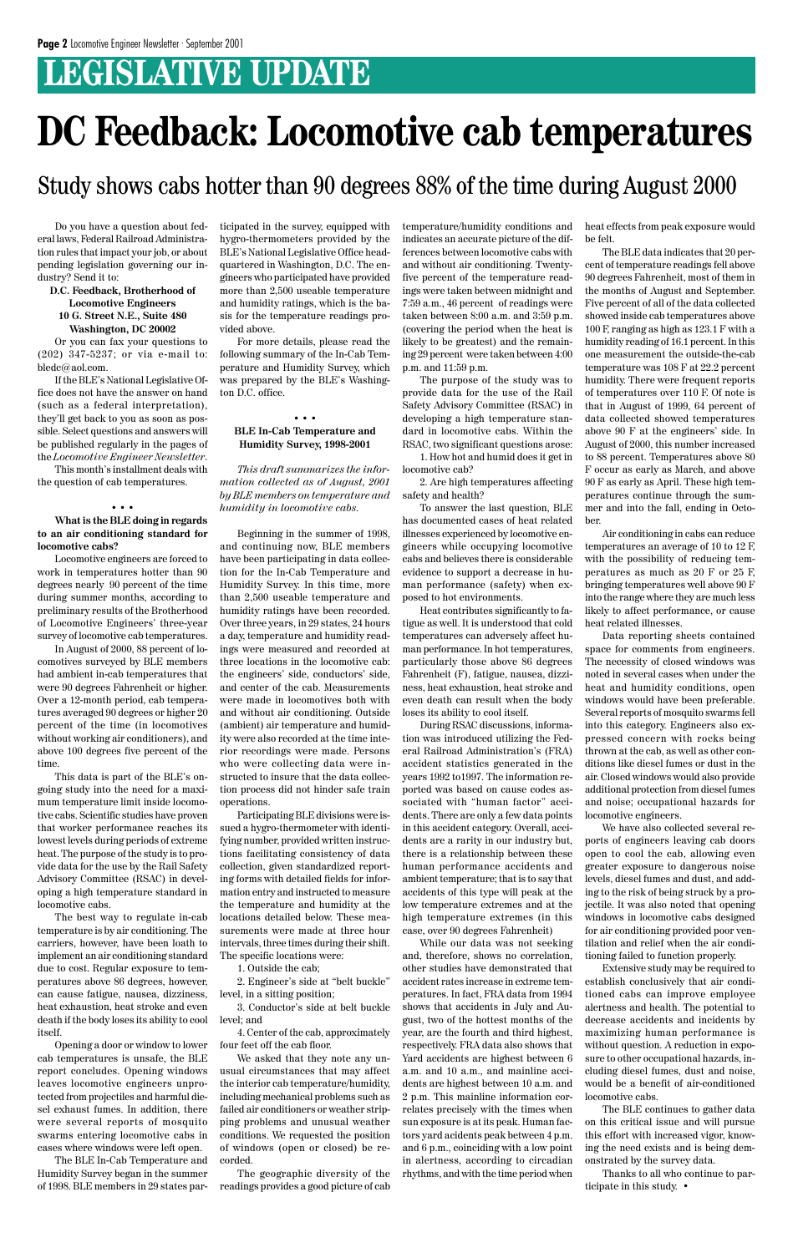### **LEGISLATIVE UPDATE**

Do you have a question about federal laws, Federal Railroad Administration rules that impact your job, or about pending legislation governing our industry? Send it to:

#### **D.C. Feedback, Brotherhood of Locomotive Engineers 10 G. Street N.E., Suite 480 Washington, DC 20002**

Or you can fax your questions to (202) 347-5237; or via e-mail to: bledc@aol.com.

If the BLE's National Legislative Office does not have the answer on hand (such as a federal interpretation), they'll get back to you as soon as possible. Select questions and answers will be published regularly in the pages of the *Locomotive Engineer Newsletter*.

This month's installment deals with the question of cab temperatures.

#### • • •

#### **What is the BLE doing in regards to an air conditioning standard for locomotive cabs?**

Locomotive engineers are forced to work in temperatures hotter than 90 degrees nearly 90 percent of the time during summer months, according to preliminary results of the Brotherhood of Locomotive Engineers' three-year survey of locomotive cab temperatures.

In August of 2000, 88 percent of locomotives surveyed by BLE members had ambient in-cab temperatures that were 90 degrees Fahrenheit or higher. Over a 12-month period, cab temperatures averaged 90 degrees or higher 20 percent of the time (in locomotives without working air conditioners), and above 100 degrees five percent of the time.

This data is part of the BLE's ongoing study into the need for a maximum temperature limit inside locomotive cabs. Scientific studies have proven that worker performance reaches its lowest levels during periods of extreme heat. The purpose of the study is to provide data for the use by the Rail Safety Advisory Committee (RSAC) in developing a high temperature standard in locomotive cabs.

The best way to regulate in-cab

temperature is by air conditioning. The carriers, however, have been loath to implement an air conditioning standard due to cost. Regular exposure to temperatures above 86 degrees, however, can cause fatigue, nausea, dizziness, heat exhaustion, heat stroke and even death if the body loses its ability to cool itself.

Opening a door or window to lower cab temperatures is unsafe, the BLE report concludes. Opening windows leaves locomotive engineers unprotected from projectiles and harmful diesel exhaust fumes. In addition, there were several reports of mosquito swarms entering locomotive cabs in cases where windows were left open.

The BLE In-Cab Temperature and Humidity Survey began in the summer of 1998. BLE members in 29 states participated in the survey, equipped with hygro-thermometers provided by the BLE's National Legislative Office headquartered in Washington, D.C. The engineers who participated have provided more than 2,500 useable temperature and humidity ratings, which is the basis for the temperature readings provided above.

For more details, please read the following summary of the In-Cab Temperature and Humidity Survey, which was prepared by the BLE's Washington D.C. office.

#### • • • **BLE In-Cab Temperature and Humidity Survey, 1998-2001**

*This draft summarizes the information collected as of August, 2001 by BLE members on temperature and humidity in locomotive cabs.*

Beginning in the summer of 1998, and continuing now, BLE members have been participating in data collection for the In-Cab Temperature and Humidity Survey. In this time, more than 2,500 useable temperature and humidity ratings have been recorded. Over three years, in 29 states, 24 hours a day, temperature and humidity readings were measured and recorded at three locations in the locomotive cab: the engineers' side, conductors' side, and center of the cab. Measurements were made in locomotives both with and without air conditioning. Outside (ambient) air temperature and humidity were also recorded at the time interior recordings were made. Persons who were collecting data were instructed to insure that the data collection process did not hinder safe train operations.

Participating BLE divisions were issued a hygro-thermometer with identifying number, provided written instructions facilitating consistency of data collection, given standardized reporting forms with detailed fields for information entry and instructed to measure the temperature and humidity at the locations detailed below. These measurements were made at three hour intervals, three times during their shift. The specific locations were:

1. Outside the cab;

2. Engineer's side at "belt buckle" level, in a sitting position;

3. Conductor's side at belt buckle level; and

4. Center of the cab, approximately four feet off the cab floor.

We asked that they note any unusual circumstances that may affect the interior cab temperature/humidity, including mechanical problems such as failed air conditioners or weather stripping problems and unusual weather conditions. We requested the position of windows (open or closed) be recorded.

The geographic diversity of the readings provides a good picture of cab

## **DC Feedback: Locomotive cab temperatures**

Study shows cabs hotter than 90 degrees 88% of the time during August 2000

temperature/humidity conditions and indicates an accurate picture of the differences between locomotive cabs with and without air conditioning. Twentyfive percent of the temperature readings were taken between midnight and 7:59 a.m., 46 percent of readings were taken between 8:00 a.m. and 3:59 p.m. (covering the period when the heat is likely to be greatest) and the remaining 29 percent were taken between 4:00 p.m. and 11:59 p.m.

The purpose of the study was to provide data for the use of the Rail Safety Advisory Committee (RSAC) in developing a high temperature standard in locomotive cabs. Within the RSAC, two significant questions arose:

1. How hot and humid does it get in locomotive cab?

2. Are high temperatures affecting safety and health?

To answer the last question, BLE has documented cases of heat related illnesses experienced by locomotive engineers while occupying locomotive cabs and believes there is considerable evidence to support a decrease in human performance (safety) when exposed to hot environments.

Heat contributes significantly to fatigue as well. It is understood that cold temperatures can adversely affect human performance. In hot temperatures, particularly those above 86 degrees Fahrenheit (F), fatigue, nausea, dizziness, heat exhaustion, heat stroke and even death can result when the body loses its ability to cool itself.

During RSAC discussions, information was introduced utilizing the Federal Railroad Administration's (FRA) accident statistics generated in the years 1992 to1997. The information reported was based on cause codes associated with "human factor" accidents. There are only a few data points in this accident category. Overall, accidents are a rarity in our industry but, there is a relationship between these human performance accidents and ambient temperature; that is to say that accidents of this type will peak at the low temperature extremes and at the high temperature extremes (in this

case, over 90 degrees Fahrenheit)

While our data was not seeking and, therefore, shows no correlation, other studies have demonstrated that accident rates increase in extreme temperatures. In fact, FRA data from 1994 shows that accidents in July and August, two of the hottest months of the year, are the fourth and third highest, respectively. FRA data also shows that Yard accidents are highest between 6 a.m. and 10 a.m., and mainline accidents are highest between 10 a.m. and 2 p.m. This mainline information correlates precisely with the times when sun exposure is at its peak. Human factors yard acidents peak between 4 p.m. and 6 p.m., coinciding with a low point in alertness, according to circadian rhythms, and with the time period when

heat effects from peak exposure would be felt.

The BLE data indicates that 20 percent of temperature readings fell above 90 degrees Fahrenheit, most of them in the months of August and September. Five percent of all of the data collected showed inside cab temperatures above 100 F, ranging as high as 123.1 F with a humidity reading of 16.1 percent. In this one measurement the outside-the-cab temperature was 108 F at 22.2 percent humidity. There were frequent reports of temperatures over 110 F. Of note is that in August of 1999, 64 percent of data collected showed temperatures above 90 F at the engineers' side. In August of 2000, this number increased to 88 percent. Temperatures above 80 F occur as early as March, and above 90 F as early as April. These high temperatures continue through the summer and into the fall, ending in October.

Air conditioning in cabs can reduce temperatures an average of 10 to 12 F, with the possibility of reducing temperatures as much as 20 F or 25 F, bringing temperatures well above 90 F into the range where they are much less likely to affect performance, or cause heat related illnesses.

Data reporting sheets contained space for comments from engineers. The necessity of closed windows was noted in several cases when under the heat and humidity conditions, open windows would have been preferable. Several reports of mosquito swarms fell into this category. Engineers also expressed concern with rocks being thrown at the cab, as well as other conditions like diesel fumes or dust in the air. Closed windows would also provide additional protection from diesel fumes and noise; occupational hazards for locomotive engineers.

We have also collected several reports of engineers leaving cab doors open to cool the cab, allowing even greater exposure to dangerous noise levels, diesel fumes and dust, and adding to the risk of being struck by a projectile. It was also noted that opening windows in locomotive cabs designed for air conditioning provided poor ventilation and relief when the air conditioning failed to function properly. Extensive study may be required to establish conclusively that air conditioned cabs can improve employee alertness and health. The potential to decrease accidents and incidents by maximizing human performance is without question. A reduction in exposure to other occupational hazards, including diesel fumes, dust and noise, would be a benefit of air-conditioned locomotive cabs.

The BLE continues to gather data on this critical issue and will pursue this effort with increased vigor, knowing the need exists and is being demonstrated by the survey data.

Thanks to all who continue to participate in this study. •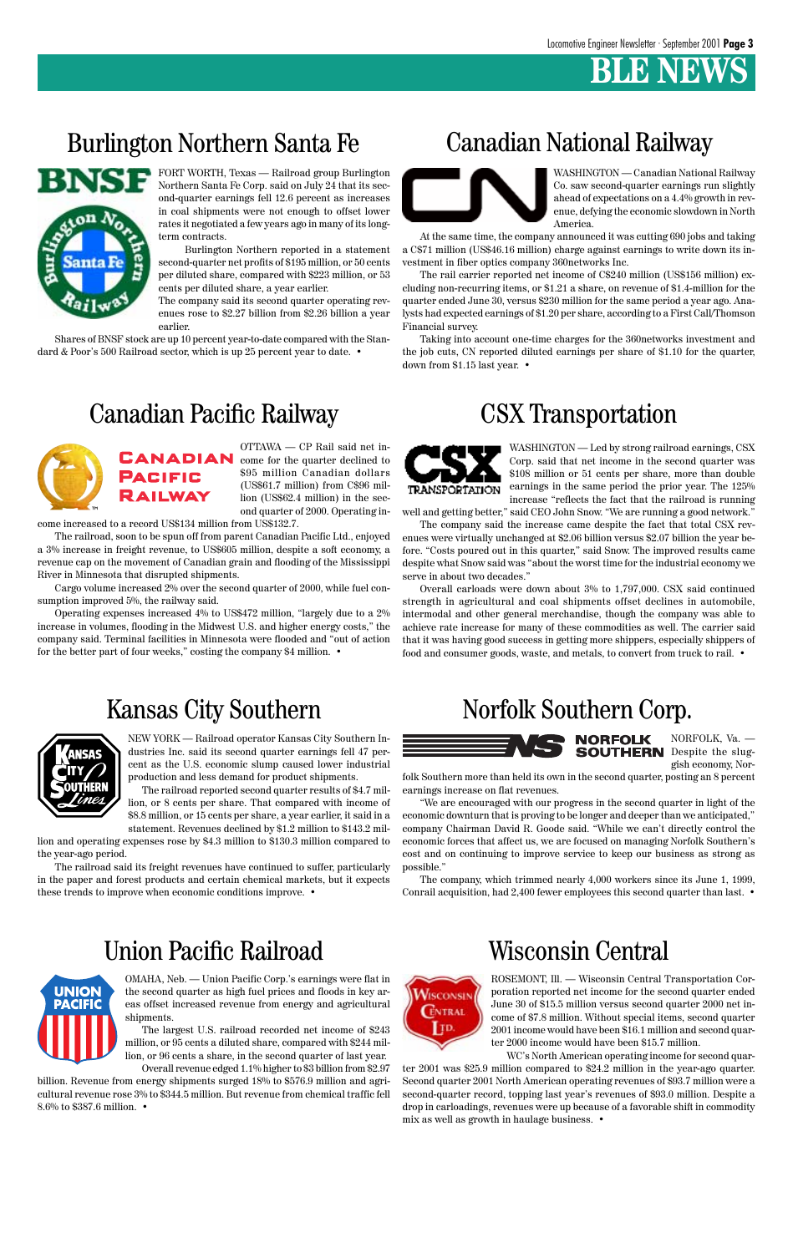### **BENEWS**

### Burlington Northern Santa Fe Canadian National Railway



### Canadian Pacific Railway CSX Transportation



### Norfolk Southern Corp.



### Union Pacific Railroad



FORT WORTH, Texas — Railroad group Burlington Northern Santa Fe Corp. said on July 24 that its second-quarter earnings fell 12.6 percent as increases in coal shipments were not enough to offset lower rates it negotiated a few years ago in many of its longterm contracts.

Shares of BNSF stock are up 10 percent year-to-date compared with the Standard & Poor's 500 Railroad sector, which is up 25 percent year to date. •

Burlington Northern reported in a statement second-quarter net profits of \$195 million, or 50 cents per diluted share, compared with \$223 million, or 53 cents per diluted share, a year earlier.

The company said its second quarter operating revenues rose to \$2.27 billion from \$2.26 billion a year earlier.

WASHINGTON — Canadian National Railway Co. saw second-quarter earnings run slightly ahead of expectations on a 4.4% growth in revenue, defying the economic slowdown in North America.

At the same time, the company announced it was cutting 690 jobs and taking a C\$71 million (US\$46.16 million) charge against earnings to write down its investment in fiber optics company 360networks Inc.

The rail carrier reported net income of C\$240 million (US\$156 million) excluding non-recurring items, or \$1.21 a share, on revenue of \$1.4-million for the quarter ended June 30, versus \$230 million for the same period a year ago. Analysts had expected earnings of \$1.20 per share, according to a First Call/Thomson Financial survey.

Taking into account one-time charges for the 360networks investment and the job cuts, CN reported diluted earnings per share of \$1.10 for the quarter, down from \$1.15 last year. •



OTTAWA — CP Rail said net in-CANADIAN come for the quarter declined to \$95 million Canadian dollars **PACIFIC** (US\$61.7 million) from C\$96 mil-RAILWAY lion (US\$62.4 million) in the second quarter of 2000. Operating in-

come increased to a record US\$134 million from US\$132.7.

The railroad, soon to be spun off from parent Canadian Pacific Ltd., enjoyed a 3% increase in freight revenue, to US\$605 million, despite a soft economy, a revenue cap on the movement of Canadian grain and flooding of the Mississippi River in Minnesota that disrupted shipments.

Cargo volume increased 2% over the second quarter of 2000, while fuel consumption improved 5%, the railway said.

Operating expenses increased 4% to US\$472 million, "largely due to a 2% increase in volumes, flooding in the Midwest U.S. and higher energy costs," the company said. Terminal facilities in Minnesota were flooded and "out of action for the better part of four weeks," costing the company \$4 million. •



WASHINGTON — Led by strong railroad earnings, CSX Corp. said that net income in the second quarter was \$108 million or 51 cents per share, more than double earnings in the same period the prior year. The 125% increase "reflects the fact that the railroad is running

well and getting better," said CEO John Snow. "We are running a good network." The company said the increase came despite the fact that total CSX rev-

enues were virtually unchanged at \$2.06 billion versus \$2.07 billion the year before. "Costs poured out in this quarter," said Snow. The improved results came despite what Snow said was "about the worst time for the industrial economy we serve in about two decades."

Overall carloads were down about 3% to 1,797,000. CSX said continued strength in agricultural and coal shipments offset declines in automobile, intermodal and other general merchandise, though the company was able to achieve rate increase for many of these commodities as well. The carrier said that it was having good success in getting more shippers, especially shippers of food and consumer goods, waste, and metals, to convert from truck to rail. •

### Kansas City Southern



NEW YORK — Railroad operator Kansas City Southern Industries Inc. said its second quarter earnings fell 47 percent as the U.S. economic slump caused lower industrial production and less demand for product shipments.

The railroad reported second quarter results of \$4.7 million, or 8 cents per share. That compared with income of \$8.8 million, or 15 cents per share, a year earlier, it said in a

statement. Revenues declined by \$1.2 million to \$143.2 million and operating expenses rose by \$4.3 million to \$130.3 million compared to

the year-ago period. The railroad said its freight revenues have continued to suffer, particularly in the paper and forest products and certain chemical markets, but it expects these trends to improve when economic conditions improve. •

NORFOLK, Va. — **SOUTHERN** Despite the sluggish economy, Nor-

folk Southern more than held its own in the second quarter, posting an 8 percent earnings increase on flat revenues.

"We are encouraged with our progress in the second quarter in light of the economic downturn that is proving to be longer and deeper than we anticipated," company Chairman David R. Goode said. "While we can't directly control the economic forces that affect us, we are focused on managing Norfolk Southern's cost and on continuing to improve service to keep our business as strong as possible."

The company, which trimmed nearly 4,000 workers since its June 1, 1999, Conrail acquisition, had 2,400 fewer employees this second quarter than last. •

### Wisconsin Central



OMAHA, Neb. — Union Pacific Corp.'s earnings were flat in the second quarter as high fuel prices and floods in key areas offset increased revenue from energy and agricultural shipments.

The largest U.S. railroad recorded net income of \$243 million, or 95 cents a diluted share, compared with \$244 million, or 96 cents a share, in the second quarter of last year. Overall revenue edged 1.1% higher to \$3 billion from \$2.97

billion. Revenue from energy shipments surged 18% to \$576.9 million and agricultural revenue rose 3% to \$344.5 million. But revenue from chemical traffic fell 8.6% to \$387.6 million. •

ROSEMONT, Ill. — Wisconsin Central Transportation Corporation reported net income for the second quarter ended June 30 of \$15.5 million versus second quarter 2000 net income of \$7.8 million. Without special items, second quarter 2001 income would have been \$16.1 million and second quarter 2000 income would have been \$15.7 million.

WC's North American operating income for second quarter 2001 was \$25.9 million compared to \$24.2 million in the year-ago quarter. Second quarter 2001 North American operating revenues of \$93.7 million were a second-quarter record, topping last year's revenues of \$93.0 million. Despite a drop in carloadings, revenues were up because of a favorable shift in commodity mix as well as growth in haulage business. •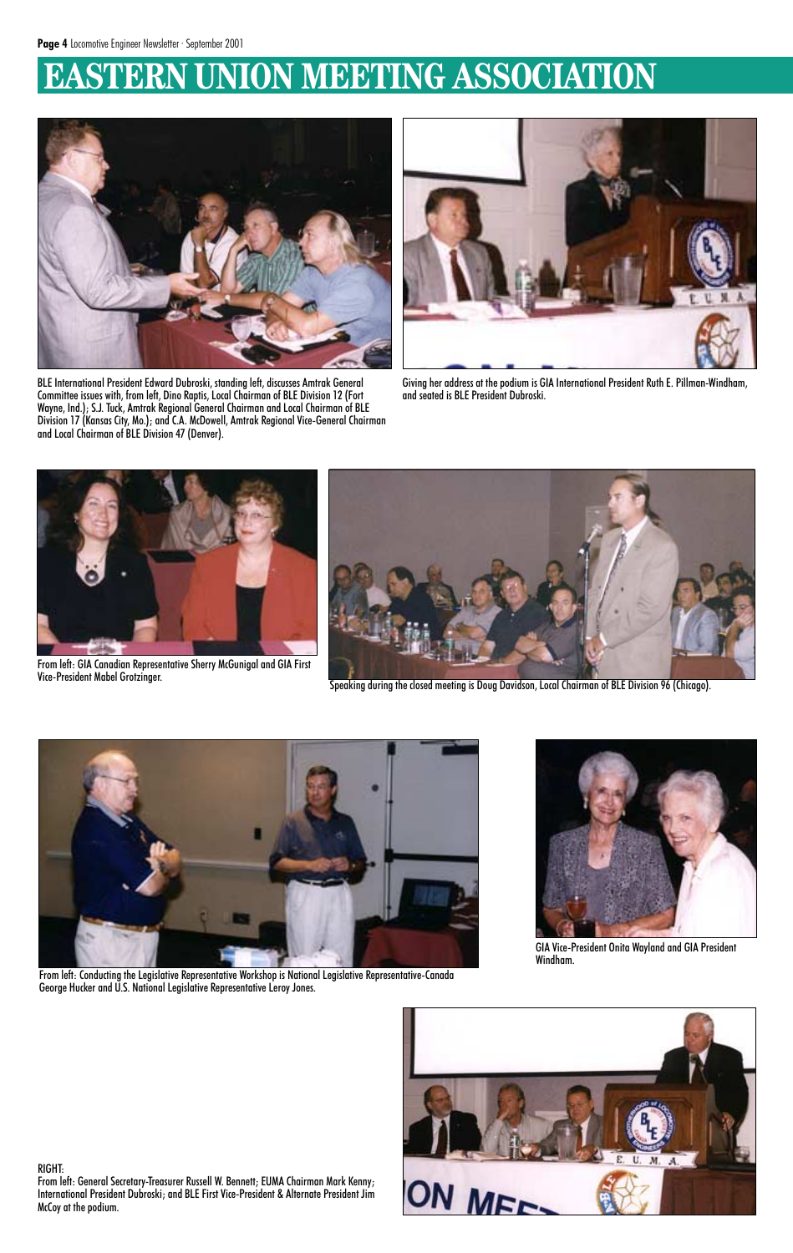### **EASTERN UNION MEETING ASSOCIATION**



BLE International President Edward Dubroski, standing left, discusses Amtrak General Committee issues with, from left, Dino Raptis, Local Chairman of BLE Division 12 (Fort Wayne, Ind.); S.J. Tuck, Amtrak Regional General Chairman and Local Chairman of BLE Division 17 (Kansas City, Mo.); and C.A. McDowell, Amtrak Regional Vice-General Chairman and Local Chairman of BLE Division 47 (Denver).



Giving her address at the podium is GIA International President Ruth E. Pillman-Windham, and seated is BLE President Dubroski.



From left: GIA Canadian Representative Sherry McGunigal and GIA First



Speaking during the closed meeting is Doug Davidson, Local Chairman of BLE Division 96 (Chicago).





From left: Conducting the Legislative Representative Workshop is National Legislative Representative-Canada George Hucker and U.S. National Legislative Representative Leroy Jones.



GIA Vice-President Onita Wayland and GIA President Windham.



#### RIGHT:

From left: General Secretary-Treasurer Russell W. Bennett; EUMA Chairman Mark Kenny; International President Dubroski; and BLE First Vice-President & Alternate President Jim McCoy at the podium.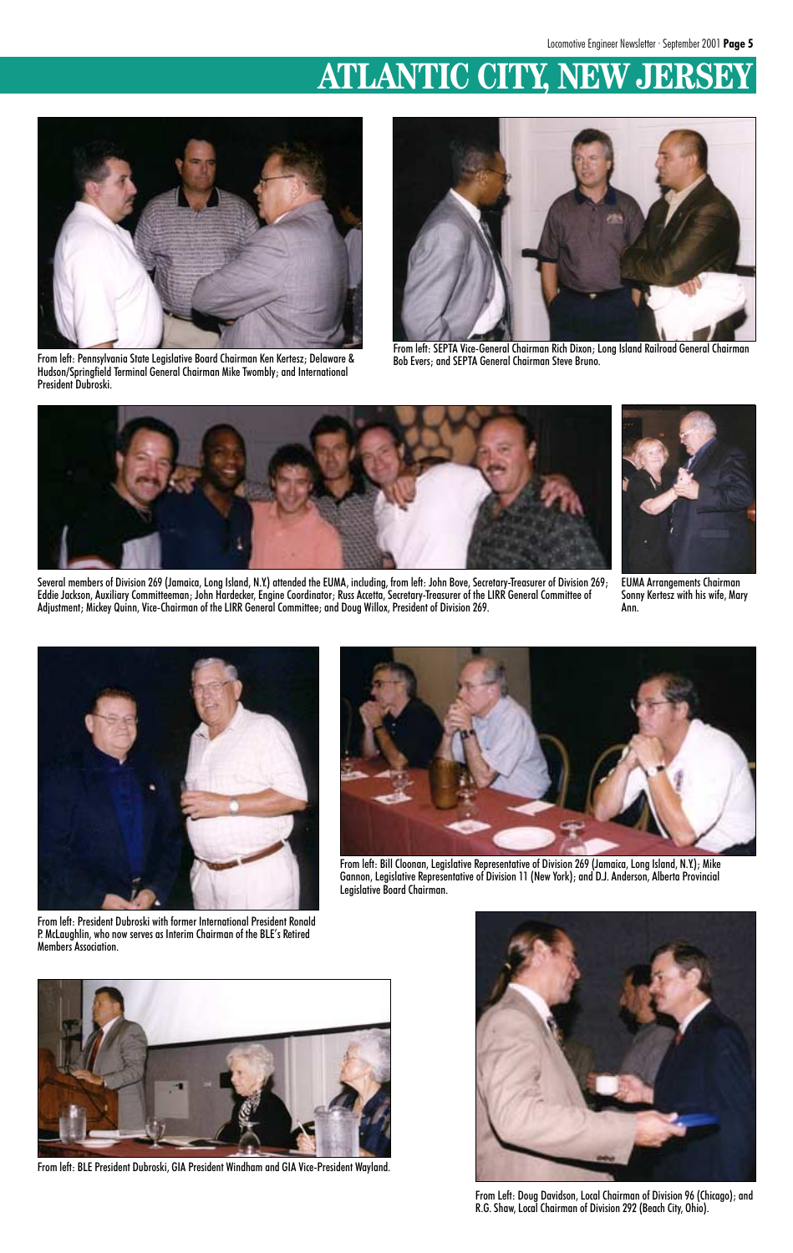### **ATLANTIC CITY, NEW JERS**



From left: Pennsylvania State Legislative Board Chairman Ken Kertesz; Delaware & Hudson/Springfield Terminal General Chairman Mike Twombly; and International President Dubroski.



From left: SEPTA Vice-General Chairman Rich Dixon; Long Island Railroad General Chairman Bob Evers; and SEPTA General Chairman Steve Bruno.



Several members of Division 269 (Jamaica, Long Island, N.Y.) attended the EUMA, including, from left: John Bove, Secretary-Treasurer of Division 269; Eddie Jackson, Auxiliary Committeeman; John Hardecker, Engine Coordinator; Russ Accetta, Secretary-Treasurer of the LIRR General Committee of Adjustment; Mickey Quinn, Vice-Chairman of the LIRR General Committee; and Doug Willox, President of Division 269.

EUMA Arrangements Chairman Sonny Kertesz with his wife, Mary Ann.



From left: President Dubroski with former International President Ronald P. McLaughlin, who now serves as Interim Chairman of the BLE's Retired Members Association.



From left: Bill Cloonan, Legislative Representative of Division 269 (Jamaica, Long Island, N.Y.); Mike Gannon, Legislative Representative of Division 11 (New York); and D.J. Anderson, Alberta Provincial Legislative Board Chairman.



From left: BLE President Dubroski, GIA President Windham and GIA Vice-President Wayland.



From Left: Doug Davidson, Local Chairman of Division 96 (Chicago); and R.G. Shaw, Local Chairman of Division 292 (Beach City, Ohio).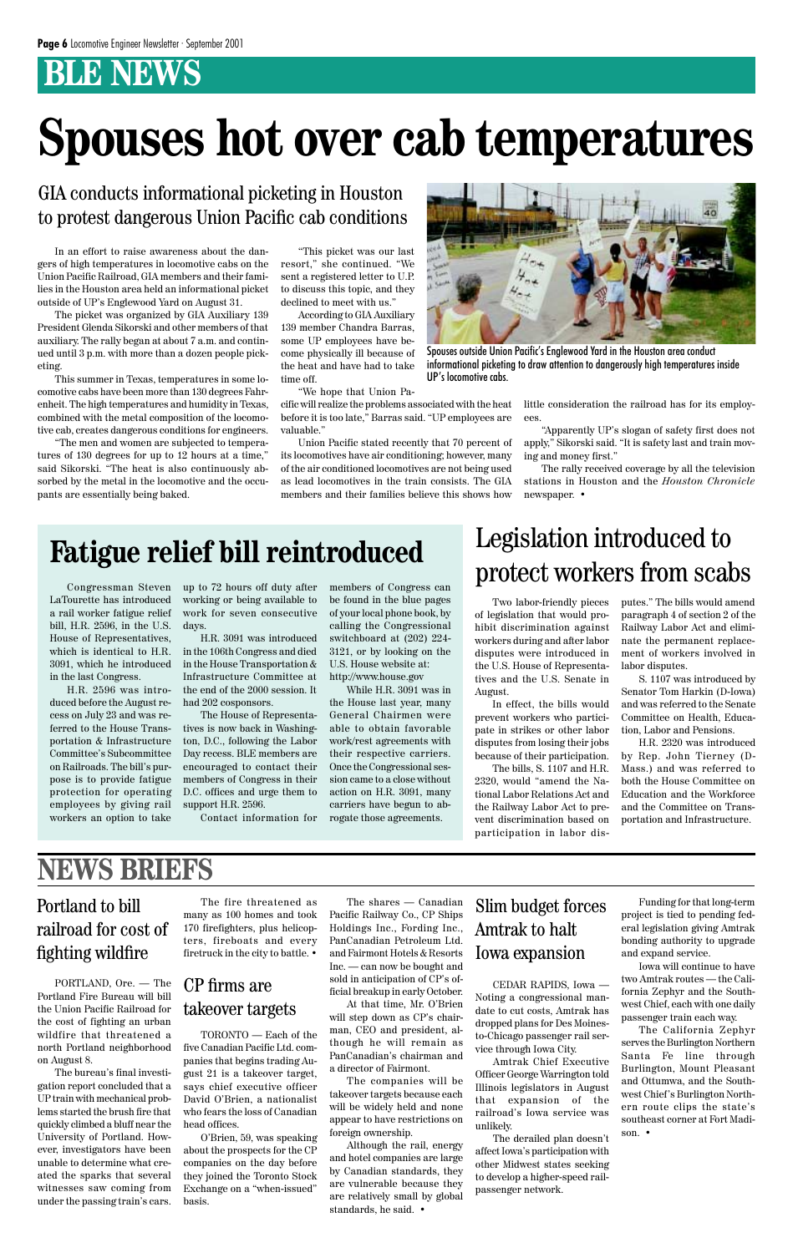### **BLE NEWS**

In an effort to raise awareness about the dangers of high temperatures in locomotive cabs on the Union Pacific Railroad, GIA members and their families in the Houston area held an informational picket outside of UP's Englewood Yard on August 31.

The picket was organized by GIA Auxiliary 139 President Glenda Sikorski and other members of that auxiliary. The rally began at about 7 a.m. and continued until 3 p.m. with more than a dozen people picketing.

This summer in Texas, temperatures in some locomotive cabs have been more than 130 degrees Fahrenheit. The high temperatures and humidity in Texas, combined with the metal composition of the locomotive cab, creates dangerous conditions for engineers.

"The men and women are subjected to temperatures of 130 degrees for up to 12 hours at a time," said Sikorski. "The heat is also continuously absorbed by the metal in the locomotive and the occupants are essentially being baked.

> Two labor-friendly pieces of legislation that would prohibit discrimination against workers during and after labor disputes were introduced in the U.S. House of Representatives and the U.S. Senate in August.

> In effect, the bills would prevent workers who participate in strikes or other labor disputes from losing their jobs because of their participation.

> The bills, S. 1107 and H.R. 2320, would "amend the National Labor Relations Act and the Railway Labor Act to prevent discrimination based on participation in labor dis-

Congressman Steven LaTourette has introduced a rail worker fatigue relief bill, H.R. 2596, in the U.S. House of Representatives, which is identical to H.R. 3091, which he introduced in the last Congress.

H.R. 2596 was introduced before the August recess on July 23 and was referred to the House Transportation & Infrastructure Committee's Subcommittee on Railroads. The bill's purpose is to provide fatigue protection for operating employees by giving rail workers an option to take

# **Spouses hot over cab temperatures**

GIA conducts informational picketing in Houston to protest dangerous Union Pacific cab conditions

> "This picket was our last resort," she continued. "We sent a registered letter to U.P. to discuss this topic, and they declined to meet with us."

> According to GIA Auxiliary 139 member Chandra Barras, some UP employees have become physically ill because of the heat and have had to take time off.

"We hope that Union Pa-

cific will realize the problems associated with the heat before it is too late," Barras said. "UP employees are valuable."

Union Pacific stated recently that 70 percent of its locomotives have air conditioning; however, many of the air conditioned locomotives are not being used as lead locomotives in the train consists. The GIA members and their families believe this shows how

little consideration the railroad has for its employees.

"Apparently UP's slogan of safety first does not apply," Sikorski said. "It is safety last and train moving and money first."

The rally received coverage by all the television stations in Houston and the *Houston Chronicle* newspaper. •



Spouses outside Union Pacific's Englewood Yard in the Houston area conduct informational picketing to draw attention to dangerously high temperatures inside UP's locomotive cabs.

up to 72 hours off duty after working or being available to work for seven consecutive days.

H.R. 3091 was introduced in the 106th Congress and died in the House Transportation & Infrastructure Committee at the end of the 2000 session. It had 202 cosponsors.

The House of Representatives is now back in Washington, D.C., following the Labor Day recess. BLE members are encouraged to contact their members of Congress in their D.C. offices and urge them to support H.R. 2596.

Contact information for

members of Congress can be found in the blue pages of your local phone book, by calling the Congressional switchboard at (202) 224- 3121, or by looking on the U.S. House website at: http://www.house.gov

While H.R. 3091 was in the House last year, many General Chairmen were able to obtain favorable work/rest agreements with their respective carriers. Once the Congressional session came to a close without action on H.R. 3091, many carriers have begun to abrogate those agreements.

### **Fatigue relief bill reintroduced**

putes." The bills would amend paragraph 4 of section 2 of the Railway Labor Act and eliminate the permanent replacement of workers involved in labor disputes.

S. 1107 was introduced by Senator Tom Harkin (D-Iowa) and was referred to the Senate Committee on Health, Education, Labor and Pensions.

H.R. 2320 was introduced by Rep. John Tierney (D-Mass.) and was referred to both the House Committee on Education and the Workforce and the Committee on Transportation and Infrastructure.

### Legislation introduced to protect workers from scabs

#### Portland to bill

#### railroad for cost of fighting wildfire

### **NEWS BRIEFS**

PORTLAND, Ore. — The Portland Fire Bureau will bill the Union Pacific Railroad for the cost of fighting an urban wildfire that threatened a north Portland neighborhood on August 8.

The bureau's final investigation report concluded that a UP train with mechanical problems started the brush fire that quickly climbed a bluff near the University of Portland. However, investigators have been unable to determine what created the sparks that several witnesses saw coming from under the passing train's cars.

The fire threatened as many as 100 homes and took

170 firefighters, plus helicopters, fireboats and every firetruck in the city to battle. •

Slim budget forces

#### Amtrak to halt Iowa expansion

CEDAR RAPIDS, Iowa — Noting a congressional mandate to cut costs, Amtrak has dropped plans for Des Moinesto-Chicago passenger rail service through Iowa City.

Amtrak Chief Executive Officer George Warrington told Illinois legislators in August that expansion of the railroad's Iowa service was unlikely.

The derailed plan doesn't affect Iowa's participation with other Midwest states seeking to develop a higher-speed railpassenger network.

#### CP firms are takeover targets

TORONTO — Each of the five Canadian Pacific Ltd. companies that begins trading August 21 is a takeover target, says chief executive officer David O'Brien, a nationalist who fears the loss of Canadian head offices.

O'Brien, 59, was speaking about the prospects for the CP companies on the day before they joined the Toronto Stock Exchange on a "when-issued" basis.

The shares — Canadian Pacific Railway Co., CP Ships

Holdings Inc., Fording Inc., PanCanadian Petroleum Ltd. and Fairmont Hotels & Resorts Inc. — can now be bought and sold in anticipation of CP's official breakup in early October. At that time, Mr. O'Brien will step down as CP's chairman, CEO and president, although he will remain as PanCanadian's chairman and

a director of Fairmont.

The companies will be takeover targets because each will be widely held and none appear to have restrictions on foreign ownership.

Although the rail, energy and hotel companies are large by Canadian standards, they are vulnerable because they are relatively small by global standards, he said. •

Funding for that long-term project is tied to pending fed-

eral legislation giving Amtrak bonding authority to upgrade and expand service.

Iowa will continue to have two Amtrak routes — the California Zephyr and the Southwest Chief, each with one daily passenger train each way.

The California Zephyr serves the Burlington Northern Santa Fe line through Burlington, Mount Pleasant and Ottumwa, and the Southwest Chief's Burlington Northern route clips the state's southeast corner at Fort Madi-

son. •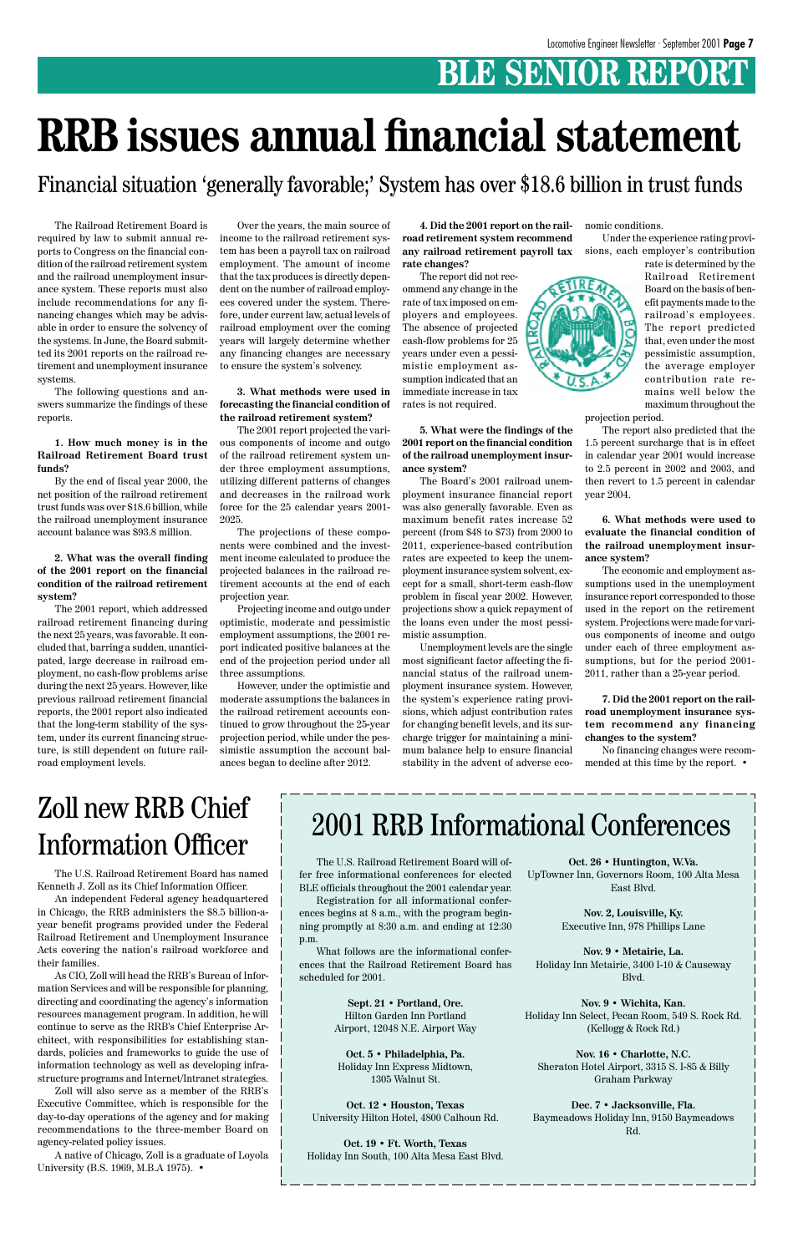### **BLE SENIOR REPORT**

The Railroad Retirement Board is required by law to submit annual reports to Congress on the financial condition of the railroad retirement system and the railroad unemployment insurance system. These reports must also include recommendations for any financing changes which may be advisable in order to ensure the solvency of the systems. In June, the Board submitted its 2001 reports on the railroad retirement and unemployment insurance systems.

The following questions and answers summarize the findings of these reports.

**1. How much money is in the Railroad Retirement Board trust funds?**

By the end of fiscal year 2000, the net position of the railroad retirement trust funds was over \$18.6 billion, while the railroad unemployment insurance account balance was \$93.8 million.

**2. What was the overall finding of the 2001 report on the financial condition of the railroad retirement system?**

The 2001 report, which addressed railroad retirement financing during the next 25 years, was favorable. It concluded that, barring a sudden, unanticipated, large decrease in railroad employment, no cash-flow problems arise during the next 25 years. However, like previous railroad retirement financial reports, the 2001 report also indicated that the long-term stability of the system, under its current financing structure, is still dependent on future railroad employment levels.

Over the years, the main source of income to the railroad retirement system has been a payroll tax on railroad employment. The amount of income that the tax produces is directly dependent on the number of railroad employees covered under the system. Therefore, under current law, actual levels of railroad employment over the coming years will largely determine whether any financing changes are necessary to ensure the system's solvency.

#### **3. What methods were used in forecasting the financial condition of the railroad retirement system?**

The 2001 report projected the various components of income and outgo of the railroad retirement system under three employment assumptions, utilizing different patterns of changes and decreases in the railroad work force for the 25 calendar years 2001- 2025.

The projections of these components were combined and the investment income calculated to produce the projected balances in the railroad retirement accounts at the end of each projection year.

Projecting income and outgo under optimistic, moderate and pessimistic employment assumptions, the 2001 report indicated positive balances at the end of the projection period under all three assumptions.

However, under the optimistic and moderate assumptions the balances in the railroad retirement accounts continued to grow throughout the 25-year projection period, while under the pessimistic assumption the account balances began to decline after 2012.

> The U.S. Railroad Retirement Board will offer free informational conferences for elected BLE officials throughout the 2001 calendar year.

> Registration for all informational conferences begins at 8 a.m., with the program begin-

> ning promptly at 8:30 a.m. and ending at 12:30 p.m.

> What follows are the informational conferences that the Railroad Retirement Board has scheduled for 2001.

> > **Sept. 21 • Portland, Ore.** Hilton Garden Inn Portland Airport, 12048 N.E. Airport Way

**Oct. 5 • Philadelphia, Pa.** Holiday Inn Express Midtown, 1305 Walnut St.

**Oct. 12 • Houston, Texas** University Hilton Hotel, 4800 Calhoun Rd.

**Oct. 19 • Ft. Worth, Texas** Holiday Inn South, 100 Alta Mesa East Blvd.

### 2001 RRB Informational Conferences

**Oct. 26 • Huntington, W.Va.** UpTowner Inn, Governors Room, 100 Alta Mesa East Blvd.

**Nov. 2, Louisville, Ky.**

Executive Inn, 978 Phillips Lane

**Nov. 9 • Metairie, La.** Holiday Inn Metairie, 3400 I-10 & Causeway Blvd.

**Nov. 9 • Wichita, Kan.** Holiday Inn Select, Pecan Room, 549 S. Rock Rd. (Kellogg & Rock Rd.)

**Nov. 16 • Charlotte, N.C.** Sheraton Hotel Airport, 3315 S. I-85 & Billy Graham Parkway

**Dec. 7 • Jacksonville, Fla.** Baymeadows Holiday Inn, 9150 Baymeadows Rd.

# **RRB issues annual financial statement**

Financial situation 'generally favorable;' System has over \$18.6 billion in trust funds

**4. Did the 2001 report on the railroad retirement system recommend any railroad retirement payroll tax rate changes?**

The report did not recommend any change in the rate of tax imposed on employers and employees. The absence of projected cash-flow problems for 25 years under even a pessimistic employment assumption indicated that an immediate increase in tax rates is not required.

**5. What were the findings of the 2001 report on the financial condition of the railroad unemployment insurance system?**

The Board's 2001 railroad unemployment insurance financial report was also generally favorable. Even as maximum benefit rates increase 52 percent (from \$48 to \$73) from 2000 to 2011, experience-based contribution rates are expected to keep the unemployment insurance system solvent, except for a small, short-term cash-flow problem in fiscal year 2002. However, projections show a quick repayment of the loans even under the most pessimistic assumption.

Unemployment levels are the single most significant factor affecting the financial status of the railroad unemployment insurance system. However, the system's experience rating provisions, which adjust contribution rates for changing benefit levels, and its surcharge trigger for maintaining a minimum balance help to ensure financial stability in the advent of adverse eco-

nomic conditions.

Under the experience rating provisions, each employer's contribution



projection period.

The report also predicted that the 1.5 percent surcharge that is in effect in calendar year 2001 would increase to 2.5 percent in 2002 and 2003, and then revert to 1.5 percent in calendar year 2004.

**6. What methods were used to evaluate the financial condition of the railroad unemployment insurance system?**

The economic and employment assumptions used in the unemployment insurance report corresponded to those used in the report on the retirement system. Projections were made for various components of income and outgo under each of three employment assumptions, but for the period 2001- 2011, rather than a 25-year period.

**7. Did the 2001 report on the railroad unemployment insurance system recommend any financing changes to the system?**

No financing changes were recommended at this time by the report. •

### Zoll new RRB Chief Information Officer

The U.S. Railroad Retirement Board has named Kenneth J. Zoll as its Chief Information Officer.

An independent Federal agency headquartered in Chicago, the RRB administers the \$8.5 billion-ayear benefit programs provided under the Federal Railroad Retirement and Unemployment Insurance Acts covering the nation's railroad workforce and their families.

As CIO, Zoll will head the RRB's Bureau of Information Services and will be responsible for planning, directing and coordinating the agency's information resources management program. In addition, he will continue to serve as the RRB's Chief Enterprise Architect, with responsibilities for establishing standards, policies and frameworks to guide the use of information technology as well as developing infrastructure programs and Internet/Intranet strategies.

Zoll will also serve as a member of the RRB's Executive Committee, which is responsible for the day-to-day operations of the agency and for making recommendations to the three-member Board on agency-related policy issues.

A native of Chicago, Zoll is a graduate of Loyola University (B.S. 1969, M.B.A 1975). •